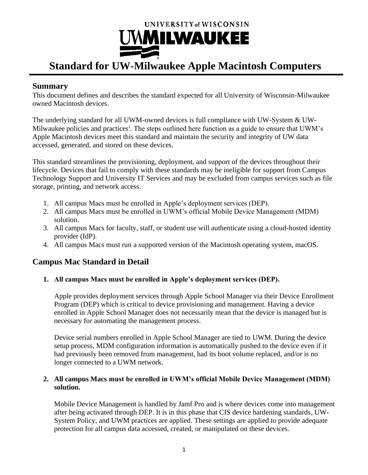

# **Standard for UW-Milwaukee Apple Macintosh Computers**

## **Summary**

This document defines and describes the standard expected for all University of Wisconsin-Milwaukee owned Macintosh devices.

The underlying standard for all UWM-owned devices is full compliance with UW-System & UW-Milwaukee policies and practices<sup>i</sup>. The steps outlined here function as a guide to ensure that UWM's Apple Macintosh devices meet this standard and maintain the security and integrity of UW data accessed, generated, and stored on these devices.

This standard streamlines the provisioning, deployment, and support of the devices throughout their lifecycle. Devices that fail to comply with these standards may be ineligible for support from Campus Technology Support and University IT Services and may be excluded from campus services such as file storage, printing, and network access.

- 1. All campus Macs must be enrolled in Apple's deployment services (DEP).
- 2. All campus Macs must be enrolled in UWM's official Mobile Device Management (MDM) solution.
- 3. All campus Macs for faculty, staff, or student use will authenticate using a cloud-hosted identity provider (IdP).
- 4. All campus Macs must run a supported version of the Macintosh operating system, macOS.

## **Campus Mac Standard in Detail**

### **1. All campus Macs must be enrolled in Apple's deployment services (DEP).**

Apple provides deployment services through Apple School Manager via their Device Enrollment Program (DEP) which is critical to device provisioning and management. Having a device enrolled in Apple School Manager does not necessarily mean that the device is managed but is necessary for automating the management process.

Device serial numbers enrolled in Apple School Manager are tied to UWM. During the device setup process, MDM configuration information is automatically pushed to the device even if it had previously been removed from management, had its boot volume replaced, and/or is no longer connected to a UWM network.

### **2. All campus Macs must be enrolled in UWM's official Mobile Device Management (MDM) solution.**

Mobile Device Management is handled by Jamf Pro and is where devices come into management after being activated through DEP. It is in this phase that CIS device hardening standards, UW-System Policy, and UWM practices are applied. These settings are applied to provide adequate protection for all campus data accessed, created, or manipulated on these devices.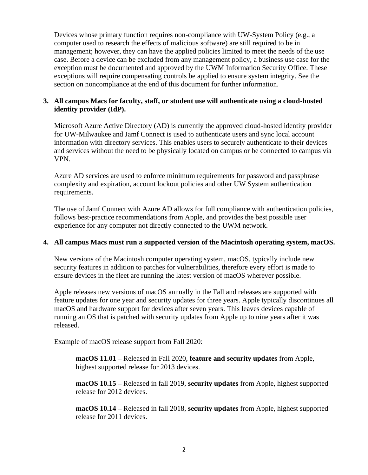Devices whose primary function requires non-compliance with UW-System Policy (e.g., a computer used to research the effects of malicious software) are still required to be in management; however, they can have the applied policies limited to meet the needs of the use case. Before a device can be excluded from any management policy, a business use case for the exception must be documented and approved by the UWM Information Security Office. These exceptions will require compensating controls be applied to ensure system integrity. See the section on noncompliance at the end of this document for further information.

#### **3. All campus Macs for faculty, staff, or student use will authenticate using a cloud-hosted identity provider (IdP).**

Microsoft Azure Active Directory (AD) is currently the approved cloud-hosted identity provider for UW-Milwaukee and Jamf Connect is used to authenticate users and sync local account information with directory services. This enables users to securely authenticate to their devices and services without the need to be physically located on campus or be connected to campus via VPN.

Azure AD services are used to enforce minimum requirements for password and passphrase complexity and expiration, account lockout policies and other UW System authentication requirements.

The use of Jamf Connect with Azure AD allows for full compliance with authentication policies, follows best-practice recommendations from Apple, and provides the best possible user experience for any computer not directly connected to the UWM network.

#### **4. All campus Macs must run a supported version of the Macintosh operating system, macOS.**

New versions of the Macintosh computer operating system, macOS, typically include new security features in addition to patches for vulnerabilities, therefore every effort is made to ensure devices in the fleet are running the latest version of macOS wherever possible.

Apple releases new versions of macOS annually in the Fall and releases are supported with feature updates for one year and security updates for three years. Apple typically discontinues all macOS and hardware support for devices after seven years. This leaves devices capable of running an OS that is patched with security updates from Apple up to nine years after it was released.

Example of macOS release support from Fall 2020:

**macOS 11.01 –** Released in Fall 2020, **feature and security updates** from Apple, highest supported release for 2013 devices.

**macOS 10.15 –** Released in fall 2019, **security updates** from Apple, highest supported release for 2012 devices.

**macOS 10.14 –** Released in fall 2018, **security updates** from Apple, highest supported release for 2011 devices.